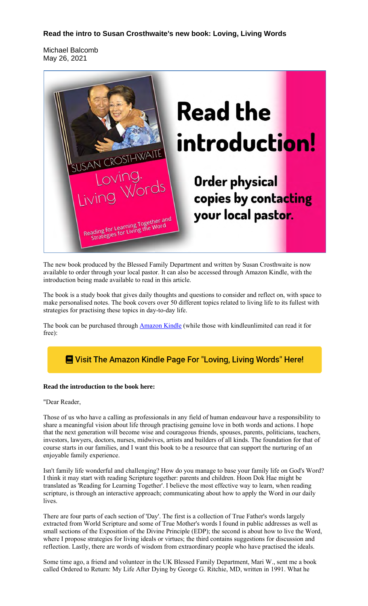## **Read the intro to Susan Crosthwaite's new book: Loving, Living Words**

Michael Balcomb May 26, 2021



The new book produced by the Blessed Family Department and written by Susan Crosthwaite is now available to order through your local pastor. It can also be accessed through Amazon Kindle, with the introduction being made available to read in this article.

The book is a study book that gives daily thoughts and questions to consider and reflect on, with space to make personalised notes. The book covers over 50 different topics related to living life to its fullest with strategies for practising these topics in day-to-day life.

The book can be purchased through **Amazon Kindle** (while those with kindleunlimited can read it for free):

# **E** Visit The Amazon Kindle Page For "Loving, Living Words" Here!

#### **Read the introduction to the book here:**

#### "Dear Reader,

Those of us who have a calling as professionals in any field of human endeavour have a responsibility to share a meaningful vision about life through practising genuine love in both words and actions. I hope that the next generation will become wise and courageous friends, spouses, parents, politicians, teachers, investors, lawyers, doctors, nurses, midwives, artists and builders of all kinds. The foundation for that of course starts in our families, and I want this book to be a resource that can support the nurturing of an enjoyable family experience.

Isn't family life wonderful and challenging? How do you manage to base your family life on God's Word? I think it may start with reading Scripture together: parents and children. Hoon Dok Hae might be translated as 'Reading for Learning Together'. I believe the most effective way to learn, when reading scripture, is through an interactive approach; communicating about how to apply the Word in our daily lives.

There are four parts of each section of 'Day'. The first is a collection of True Father's words largely extracted from World Scripture and some of True Mother's words I found in public addresses as well as small sections of the Exposition of the Divine Principle (EDP); the second is about how to live the Word, where I propose strategies for living ideals or virtues; the third contains suggestions for discussion and reflection. Lastly, there are words of wisdom from extraordinary people who have practised the ideals.

Some time ago, a friend and volunteer in the UK Blessed Family Department, Mari W., sent me a book called Ordered to Return: My Life After Dying by George G. Ritchie, MD, written in 1991. What he